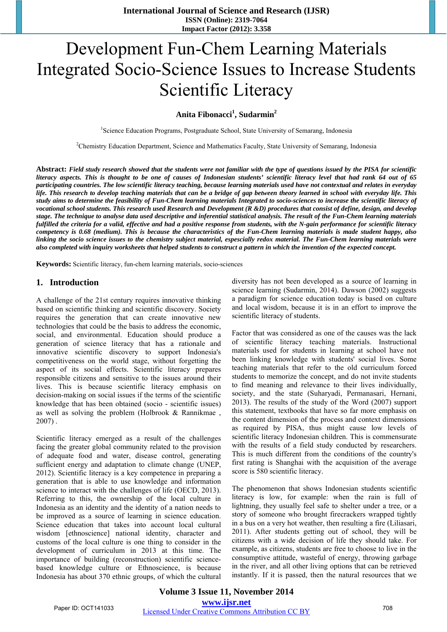# Development Fun-Chem Learning Materials Integrated Socio-Science Issues to Increase Students Scientific Literacy

## **Anita Fibonacci<sup>1</sup> , Sudarmin<sup>2</sup>**

<sup>1</sup>Science Education Programs, Postgraduate School, State University of Semarang, Indonesia

<sup>2</sup>Chemistry Education Department, Science and Mathematics Faculty, State University of Semarang, Indonesia

**Abstract:** *Field study research showed that the students were not familiar with the type of questions issued by the PISA for scientific literacy aspects. This is thought to be one of causes of Indonesian students' scientific literacy level that had rank 64 out of 65 participating countries. The low scientific literacy teaching, because learning materials used have not contextual and relates in everyday life. This research to develop teaching materials that can be a bridge of gap between theory learned in school with everyday life. This study aims to determine the feasibility of Fun-Chem learning materials Integrated to socio-sciences to increase the scientific literacy of vocational school students. This research used Research and Development (R &D) procedures that consist of define, design, and develop stage. The technique to analyse data used descriptive and inferential statistical analysis. The result of the Fun-Chem learning materials fulfilled the criteria for a valid, effective and had a positive response from students, with the N-gain performance for scientific literacy competency is 0.68 (medium). This is because the characteristics of the Fun-Chem learning materials is made student happy, also linking the socio science issues to the chemistry subject material, espescially redox material. The Fun-Chem learning materials were also completed with inquiry worksheets that helped students to construct a pattern in which the invention of the expected concept.* 

**Keywords:** Scientific literacy, fun-chem learning materials, socio-sciences

## **1. Introduction**

A challenge of the 21st century requires innovative thinking based on scientific thinking and scientific discovery. Society requires the generation that can create innovative new technologies that could be the basis to address the economic, social, and environmental. Education should produce a generation of science literacy that has a rationale and innovative scientific discovery to support Indonesia's competitiveness on the world stage, without forgetting the aspect of its social effects. Scientific literacy prepares responsible citizens and sensitive to the issues around their lives. This is because scientific literacy emphasis on decision-making on social issues if the terms of the scientific knowledge that has been obtained (socio - scientific issues) as well as solving the problem (Holbrook & Rannikmae , 2007) .

Scientific literacy emerged as a result of the challenges facing the greater global community related to the provision of adequate food and water, disease control, generating sufficient energy and adaptation to climate change (UNEP, 2012). Scientific literacy is a key competence in preparing a generation that is able to use knowledge and information science to interact with the challenges of life (OECD, 2013). Referring to this, the ownership of the local culture in Indonesia as an identity and the identity of a nation needs to be improved as a source of learning in science education. Science education that takes into account local cultural wisdom [ethnoscience] national identity, character and customs of the local culture is one thing to consider in the development of curriculum in 2013 at this time. The importance of building (reconstruction) scientific sciencebased knowledge culture or Ethnoscience, is because Indonesia has about 370 ethnic groups, of which the cultural diversity has not been developed as a source of learning in science learning (Sudarmin, 2014). Dawson (2002) suggests a paradigm for science education today is based on culture and local wisdom, because it is in an effort to improve the scientific literacy of students.

Factor that was considered as one of the causes was the lack of scientific literacy teaching materials. Instructional materials used for students in learning at school have not been linking knowledge with students' social lives. Some teaching materials that refer to the old curriculum forced students to memorize the concept, and do not invite students to find meaning and relevance to their lives individually, society, and the state (Suharyadi, Permanasari, Hernani, 2013). The results of the study of the Word (2007) support this statement, textbooks that have so far more emphasis on the content dimension of the process and context dimensions as required by PISA, thus might cause low levels of scientific literacy Indonesian children. This is commensurate with the results of a field study conducted by researchers. This is much different from the conditions of the country's first rating is Shanghai with the acquisition of the average score is 580 scientific literacy.

The phenomenon that shows Indonesian students scientific literacy is low, for example: when the rain is full of lightning, they usually feel safe to shelter under a tree, or a story of someone who brought firecrackers wrapped tightly in a bus on a very hot weather, then resulting a fire (Liliasari, 2011). After students getting out of school, they will be citizens with a wide decision of life they should take. For example, as citizens, students are free to choose to live in the consumptive attitude, wasteful of energy, throwing garbage in the river, and all other living options that can be retrieved instantly. If it is passed, then the natural resources that we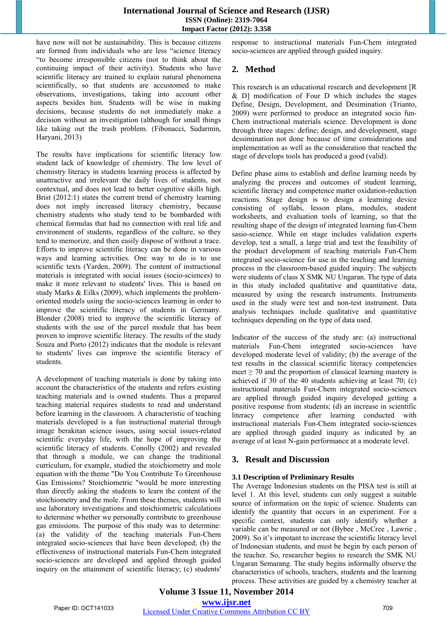have now will not be sustainability. This is because citizens are formed from individuals who are less "science literacy "to become irresponsible citizens (not to think about the continuing impact of their activity). Students who have scientific literacy are trained to explain natural phenomena scientifically, so that students are accustomed to make observations, investigations, taking into account other aspects besides him. Students will be wise in making decisions, because students do not immediately make a decision without an investigation (although for small things like taking out the trash problem. (Fibonacci, Sudarmin, Haryani, 2013)

The results have implications for scientific literacy low student lack of knowledge of chemistry. The low level of chemistry literacy in students learning process is affected by unattractive and irrelevant the daily lives of students, not contextual, and does not lead to better cognitive skills high. Brist (2012:1) states the current trend of chemistry learning does not imply increased literacy chemistry, because chemistry students who study tend to be bombarded with chemical formulas that had no connection with real life and environment of students, regardless of the culture, so they tend to memorize, and then easily dispose of without a trace. Efforts to improve scientific literacy can be done in various ways and learning activities. One way to do is to use scientific texts (Yarden, 2009). The content of instructional materials is integrated with social issues (socio-sciences) to make it more relevant to students' lives. This is based on study Marks & Eilks (2009), which implements the problemoriented models using the socio-sciences learning in order to improve the scientific literacy of students in Germany. Blonder (2008) tried to improve the scientific literacy of students with the use of the parcel module that has been proven to improve scientific literacy. The results of the study Souza and Porto (2012) indicates that the module is relevant to students' lives can improve the scientific literacy of students.

A development of teaching materials is done by taking into account the characteristics of the students and refers existing teaching materials and is owned students. Thus a prepared teaching material requires students to read and understand before learning in the classroom. A characteristic of teaching materials developed is a fun instructional material through image berakitan science issues, using social issues-related scientific everyday life, with the hope of improving the scientific literacy of students. Conolly (2002) and revealed that through a module, we can change the traditional curriculum, for example, studied the stoichiometry and mole equation with the theme "Do You Contribute To Greenhouse Gas Emissions? Stoichiometric "would be more interesting than directly asking the students to learn the content of the stoichiometry and the mole. From these themes, students will use laboratory investigations and stoichiometric calculations to determine whether we personally contribute to greenhouse gas emissions. The purpose of this study was to determine: (a) the validity of the teaching materials Fun-Chem integrated socio-sciences that have been developed; (b) the effectiveness of instructional materials Fun-Chem integrated socio-sciences are developed and applied through guided inquiry on the attainment of scientific literacy; (c) students'

response to instructional materials Fun-Chem integrated socio-sciences are applied through guided inquiry.

# **2. Method**

This research is an educational research and development [R & D] modification of Four D which includes the stages Define, Design, Development, and Desimination (Trianto, 2009) were performed to produce an integrated socio fun-Chem instructional materials science. Development is done through three stages: define; design, and development, stage dessimination not done because of time considerations and implementation as well as the consideration that reached the stage of develops tools has produced a good (valid).

Define phase aims to establish and define learning needs by analyzing the process and outcomes of student learning, scientific literacy and competence matter oxidation-reduction reactions. Stage design is to design a learning device consisting of syllabi, lesson plans, modules, student worksheets, and evaluation tools of learning, so that the resulting shape of the design of integrated learning fun-Chem sasio-science. While on stage includes validation experts develop, test a small, a large trial and test the feasibility of the product development of teaching materials Fun-Chem integrated socio-science for use in the teaching and learning process in the classroom-based guided inquiry. The subjects were students of class X SMK NU Ungaran. The type of data in this study included qualitative and quantitative data, measured by using the research instruments. Instruments used in the study were test and non-test instrument. Data analysis techniques include qualitative and quantitative techniques depending on the type of data used.

Indicator of the success of the study are: (a) instructional materials Fun-Chem integrated socio-sciences have developed moderate level of validity; (b) the average of the test results in the classical scientific literacy competencies meet  $\geq$  70 and the proportion of classical learning mastery is achieved if 30 of the 40 students achieving at least 70; (c) instructional materials Fun-Chem integrated socio-sciences are applied through guided inquiry developed getting a positive response from students; (d) an increase in scientific literacy competence after learning conducted with instructional materials Fun-Chem integrated socio-sciences are applied through guided inquiry as indicated by an average of at least N-gain performance at a moderate level.

## **3. Result and Discussion**

#### **3.1 Description of Preliminary Results**

The Average Indonesian students on the PISA test is still at level 1. At this level, students can only suggest a suitable source of information on the topic of science. Students can identify the quantity that occurs in an experiment. For a specific context, students can only identify whether a variable can be measured or not (Bybee , McCree , Lawrie , 2009). So it's impotant to increase the scientific literacy level of Indonesian students, and must be begin by each person of the teacher. So, researcher begins to research the SMK NU Ungaran Semarang. The study begins informally observe the characteristics of schools, teachers, students and the learning process. These activities are guided by a chemistry teacher at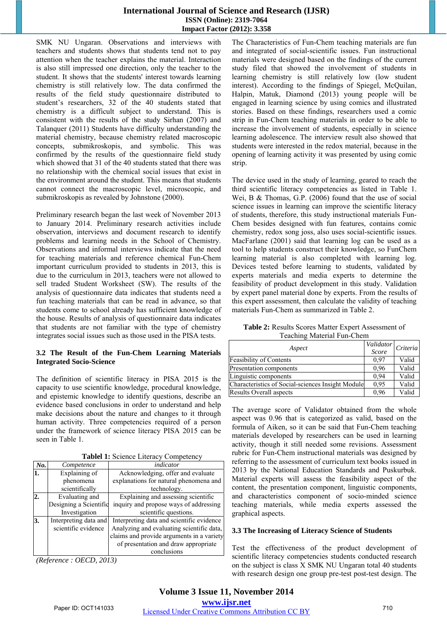SMK NU Ungaran. Observations and interviews with teachers and students shows that students tend not to pay attention when the teacher explains the material. Interaction is also still impressed one direction, only the teacher to the student. It shows that the students' interest towards learning chemistry is still relatively low. The data confirmed the results of the field study questionnaire distributed to student's researchers, 32 of the 40 students stated that chemistry is a difficult subject to understand. This is consistent with the results of the study Sirhan (2007) and Talanquer (2011) Students have difficulty understanding the material chemistry, because chemistry related macroscopic concepts, submikroskopis, and symbolic. This was confirmed by the results of the questionnaire field study which showed that 31 of the 40 students stated that there was no relationship with the chemical social issues that exist in the environment around the student. This means that students cannot connect the macroscopic level, microscopic, and submikroskopis as revealed by Johnstone (2000).

Preliminary research began the last week of November 2013 to January 2014. Preliminary research activities include observation, interviews and document research to identify problems and learning needs in the School of Chemistry. Observations and informal interviews indicate that the need for teaching materials and reference chemical Fun-Chem important curriculum provided to students in 2013, this is due to the curriculum in 2013, teachers were not allowed to sell traded Student Worksheet (SW). The results of the analysis of questionnaire data indicates that students need a fun teaching materials that can be read in advance, so that students come to school already has sufficient knowledge of the house. Results of analysis of questionnaire data indicates that students are not familiar with the type of chemistry integrates social issues such as those used in the PISA tests.

#### **3.2 The Result of the Fun-Chem Learning Materials Integrated Socio-Science**

The definition of scientific literacy in PISA 2015 is the capacity to use scientific knowledge, procedural knowledge, and epistemic knowledge to identify questions, describe an evidence based conclusions in order to understand and help make decisions about the nature and changes to it through human activity. Three competencies required of a person under the framework of science literacy PISA 2015 can be seen in Table 1.

**Tablel 1:** Science Literacy Competency

| No.            | Competence             | indicator                                 |
|----------------|------------------------|-------------------------------------------|
| 1.             | Explaining of          | Acknowledging, offer and evaluate         |
|                | phenomena              | explanations for natural phenomena and    |
|                | scientifically         | technology.                               |
| $\overline{2}$ | Evaluating and         | Explaining and assessing scientific       |
|                | Designing a Scientific | inquiry and propose ways of addressing    |
|                | Investigation          | scientific questions.                     |
| 3.             | Interpreting data and  | Interpreting data and scientific evidence |
|                | scientific evidence    | Analyzing and evaluating scientific data, |
|                |                        | claims and provide arguments in a variety |
|                |                        | of presentation and draw appropriate      |
|                |                        | conclusions                               |

*(Reference : OECD, 2013)* 

The Characteristics of Fun-Chem teaching materials are fun and integrated of social-scientific issues. Fun instructional materials were designed based on the findings of the current study filed that showed the involvement of students in learning chemistry is still relatively low (low student interest). According to the findings of Spiegel, McQuilan, Halpin, Matuk, Diamond (2013) young people will be engaged in learning science by using comics and illustrated stories. Based on these findings, researchers used a comic strip in Fun-Chem teaching materials in order to be able to increase the involvement of students, especially in science learning adolescence. The interview result also showed that students were interested in the redox material, because in the opening of learning activity it was presented by using comic strip.

The device used in the study of learning, geared to reach the third scientific literacy competencies as listed in Table 1. Wei, B & Thomas, G.P. (2006) found that the use of social science issues in learning can improve the scientific literacy of students, therefore, this study instructional materials Fun-Chem besides designed with fun features, contains comic chemistry, redox song joss, also uses social-scientific issues. MacFarlane (2001) said that learning log can be used as a tool to help students construct their knowledge, so FunChem learning material is also completed with learning log. Devices tested before learning to students, validated by experts materials and media experts to determine the feasibility of product development in this study. Validation by expert panel material done by experts. From the results of this expert assessment, then calculate the validity of teaching materials Fun-Chem as summarized in Table 2.

**Table 2:** Results Scores Matter Expert Assessment of Teaching Material Fun-Chem

| Aspect                                            | Validator<br>Score | Criteria |
|---------------------------------------------------|--------------------|----------|
| <b>Feasibility of Contents</b>                    | 0.97               | Valid    |
| Presentation components                           | 0.96               | Valid    |
| Linguistic components                             | 0.94               | Valid    |
| Characteristics of Social-sciences Insight Module | 0.95               | Valid    |
| <b>Results Overall aspects</b>                    | 0.96               | Valid    |

The average score of Validator obtained from the whole aspect was 0.96 that is categorized as valid, based on the formula of Aiken, so it can be said that Fun-Chem teaching materials developed by researchers can be used in learning activity, though it still needed some revisions. Assessment rubric for Fun-Chem instructional materials was designed by referring to the assessment of curriculum text books issued in 2013 by the National Education Standards and Puskurbuk. Material experts will assess the feasibility aspect of the content, the presentation component, linguistic components, and characteristics component of socio-minded science teaching materials, while media experts assessed the graphical aspects.

#### **3.3 The Increasing of Literacy Science of Students**

Test the effectiveness of the product development of scientific literacy competencies students conducted research on the subject is class X SMK NU Ungaran total 40 students with research design one group pre-test post-test design. The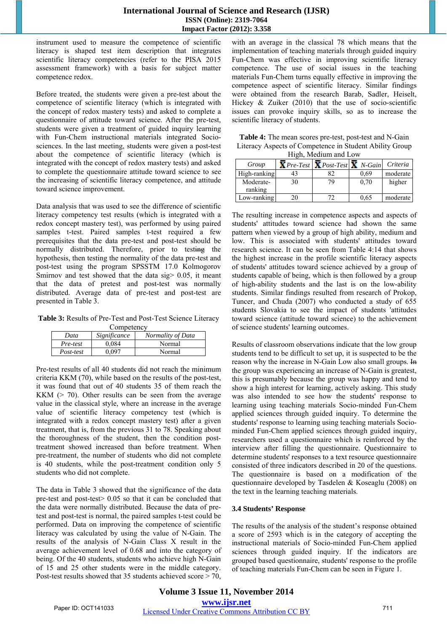instrument used to measure the competence of scientific literacy is shaped test item description that integrates scientific literacy competencies (refer to the PISA 2015 assessment framework) with a basis for subject matter competence redox.

Before treated, the students were given a pre-test about the competence of scientific literacy (which is integrated with the concept of redox mastery tests) and asked to complete a questionnaire of attitude toward science. After the pre-test, students were given a treatment of guided inquiry learning with Fun-Chem instructional materials integrated Sociosciences. In the last meeting, students were given a post-test about the competence of scientific literacy (which is integrated with the concept of redox mastery tests) and asked to complete the questionnaire attitude toward science to see the increasing of scientific literacy competence, and attitude toward science improvement.

Data analysis that was used to see the difference of scientific literacy competency test results (which is integrated with a redox concept mastery test), was performed by using paired samples t-test. Paired samples t-test required a few prerequisites that the data pre-test and post-test should be normally distributed. Therefore, prior to testing the hypothesis, then testing the normality of the data pre-test and post-test using the program SPSSTM 17.0 Kolmogorov Smirnov and test showed that the data sig> 0.05, it meant that the data of pretest and post-test was normally distributed. Average data of pre-test and post-test are presented in Table 3.

**Table 3:** Results of Pre-Test and Post-Test Science Literacy

| Competency |
|------------|
|------------|

| Data      | Significance | Normality of Data |
|-----------|--------------|-------------------|
| Pre-test  | 0.084        | Normal            |
| Post-test | 0.097        | Normal            |

Pre-test results of all 40 students did not reach the minimum criteria KKM (70), while based on the results of the post-test, it was found that out of 40 students 35 of them reach the KKM  $(> 70)$ . Other results can be seen from the average value in the classical style, where an increase in the average value of scientific literacy competency test (which is integrated with a redox concept mastery test) after a given treatment, that is, from the previous 31 to 78. Speaking about the thoroughness of the student, then the condition posttreatment showed increased than before treatment. When pre-treatment, the number of students who did not complete is 40 students, while the post-treatment condition only 5 students who did not complete.

The data in Table 3 showed that the significance of the data pre-test and post-test> 0.05 so that it can be concluded that the data were normally distributed. Because the data of pretest and post-test is normal, the paired samples t-test could be performed. Data on improving the competence of scientific literacy was calculated by using the value of N-Gain. The results of the analysis of N-Gain Class X result in the average achievement level of 0.68 and into the category of being. Of the 40 students, students who achieve high N-Gain of 15 and 25 other students were in the middle category. Post-test results showed that 35 students achieved score  $>$  70,

with an average in the classical 78 which means that the implementation of teaching materials through guided inquiry Fun-Chem was effective in improving scientific literacy competence. The use of social issues in the teaching materials Fun-Chem turns equally effective in improving the competence aspect of scientific literacy. Similar findings were obtained from the research Barab, Sadler, Heiselt, Hickey  $& Zu$ iker (2010) that the use of socio-scientific issues can provoke inquiry skills, so as to increase the scientific literacy of students.

| <b>Table 4:</b> The mean scores pre-test, post-test and N-Gain |
|----------------------------------------------------------------|
| Literacy Aspects of Competence in Student Ability Group        |
| High Medium and Low                                            |

| Group        |    | $X$ Pre-Test $X$ Post-Test $X$ N-Gain |      | Criteria |  |  |  |  |
|--------------|----|---------------------------------------|------|----------|--|--|--|--|
| High-ranking | 43 | 82                                    | 0.69 | moderate |  |  |  |  |
| Moderate-    | 30 | 79                                    | 0.70 | higher   |  |  |  |  |
| ranking      |    |                                       |      |          |  |  |  |  |
| Low-ranking  | 20 |                                       | 0.65 | moderate |  |  |  |  |

The resulting increase in competence aspects and aspects of students' attitudes toward science had shown the same pattern when viewed by a group of high ability, medium and low*.* This is associated with students' attitudes toward research science. It can be seen from Table 4:14 that shows the highest increase in the profile scientific literacy aspects of students' attitudes toward science achieved by a group of students capable of being, which is then followed by a group of high-ability students and the last is on the low-ability students. Similar findings resulted from research of Prokop, Tuncer, and Chuda (2007) who conducted a study of 655 students Slovakia to see the impact of students 'attitudes toward science (attitude toward science) to the achievement of science students' learning outcomes.

Results of classroom observations indicate that the low group students tend to be difficult to set up, it is suspected to be the reason why the increase in N-Gain Low also small groups. In the group was experiencing an increase of N-Gain is greatest, this is presumably because the group was happy and tend to show a high interest for learning, actively asking. This study was also intended to see how the students' response to learning using teaching materials Socio-minded Fun-Chem applied sciences through guided inquiry. To determine the students' response to learning using teaching materials Sociominded Fun-Chem applied sciences through guided inquiry, researchers used a questionnaire which is reinforced by the interview after filling the questionnaire. Questionnaire to determine students' responses to a text resource questionnaire consisted of three indicators described in 20 of the questions. The questionnaire is based on a modification of the questionnaire developed by Tasdelen & Koseaglu (2008) on the text in the learning teaching materials.

#### **3.4 Students' Response**

The results of the analysis of the student's response obtained a score of 2593 which is in the category of accepting the instructional materials of Socio-minded Fun-Chem applied sciences through guided inquiry. If the indicators are grouped based questionnaire, students' response to the profile of teaching materials Fun-Chem can be seen in Figure 1.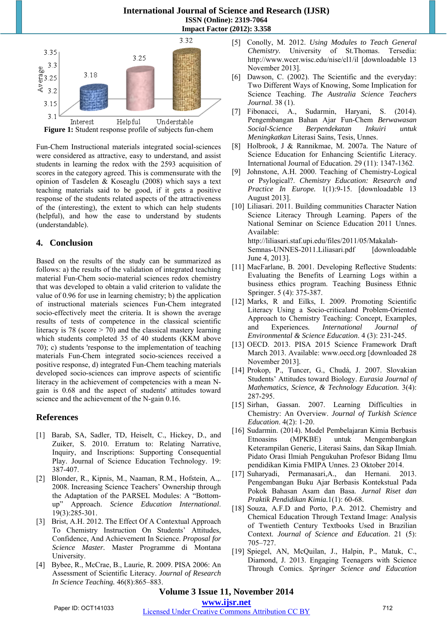

Fun-Chem Instructional materials integrated social-sciences were considered as attractive, easy to understand, and assist students in learning the redox with the 2593 acquisition of scores in the category agreed. This is commensurate with the opinion of Tasdelen & Koseaglu (2008) which says a text teaching materials said to be good, if it gets a positive response of the students related aspects of the attractiveness of the (interesting), the extent to which can help students (helpful), and how the ease to understand by students (understandable).

# **4. Conclusion**

Based on the results of the study can be summarized as follows: a) the results of the validation of integrated teaching material Fun-Chem socio-material sciences redox chemistry that was developed to obtain a valid criterion to validate the value of 0.96 for use in learning chemistry; b) the application of instructional materials sciences Fun-Chem integrated socio-effectively meet the criteria. It is shown the average results of tests of competence in the classical scientific literacy is 78 (score > 70) and the classical mastery learning which students completed 35 of 40 students (KKM above 70); c) students 'response to the implementation of teaching materials Fun-Chem integrated socio-sciences received a positive response, d) integrated Fun-Chem teaching materials developed socio-sciences can improve aspects of scientific literacy in the achievement of competencies with a mean Ngain is 0.68 and the aspect of students' attitudes toward science and the achievement of the N-gain 0.16.

# **References**

- [1] Barab, SA, Sadler, TD, Heiselt, C., Hickey, D., and Zuiker, S. 2010. Erratum to: Relating Narrative, Inquiry, and Inscriptions: Supporting Consequential Play. Journal of Science Education Technology. 19: 387-407.
- [2] Blonder, R., Kipnis, M., Naaman, R.M., Hofstein, A.,. 2008. Increasing Science Teachers' Ownership through the Adaptation of the PARSEL Modules: A "Bottomup" Approach. *Science Education International*. 19(3):285-301.
- [3] Brist, A.H. 2012. The Effect Of A Contextual Approach To Chemistry Instruction On Students' Attitudes, Confidence, And Achievement In Science. *Proposal for Science Master.* Master Programme di Montana University.
- [4] Bybee, R., McCrae, B., Laurie, R. 2009. PISA 2006: An Assessment of Scientific Literacy. *Journal of Research In Science Teaching.* 46(8):865–883.
- [5] Conolly, M. 2012. *Using Modules to Teach General Chemistry.* University of St.Thomas. Tersedia: http://www.wcer.wisc.edu/nise/cl1/il [downloadable 13 November 2013].
- [6] Dawson, C. (2002). The Scientific and the everyday: Two Different Ways of Knowing, Some Implication for Science Teaching. *The Australia Science Teachers Journal*. 38 (1).
- [7] Fibonacci, A., Sudarmin, Haryani, S. (2014). Pengembangan Bahan Ajar Fun-Chem *Berwawasan Social-Science Berpendekatan Inkuiri untuk Meningkatkan* Literasi Sains, Tesis, Unnes.
- [8] Holbrook, J & Rannikmae, M. 2007a. The Nature of Science Education for Enhancing Scientific Literacy. International Journal of Education. 29 (11): 1347-1362.
- [9] Johnstone, A.H. 2000. Teaching of Chemistry-Logical or Psylogical?. *Chemistry Education: Research and Practice In Europe.* 1(1):9-15. [downloadable 13 August 2013].
- [10] Liliasari. 2011. Building communities Character Nation Science Literacy Through Learning. Papers of the National Seminar on Science Education 2011 Unnes. Available: http://liliasari.staf.upi.edu/files/2011/05/Makalah-Semnas-UNNES-2011.Liliasari.pdf [downloadable June 4, 2013].
- [11] MacFarlane, B. 2001. Developing Reflective Students: Evaluating the Benefits of Learning Logs within a business ethics program. Teaching Business Ethnic Springer. 5 (4): 375-387.
- [12] Marks, R and Eilks, I. 2009. Promoting Scientific Literacy Using a Socio-criticaland Problem-Oriented Approach to Chemistry Teaching: Concept, Examples, and Experiences*. International Journal of Environmental & Science Education*. 4 (3): 231-245.
- [13] OECD. 2013. PISA 2015 Science Framework Draft March 2013. Available: www.oecd.org [downloaded 28 November 2013].
- [14] Prokop, P., Tuncer, G., Chudá, J. 2007. Slovakian Students' Attitudes toward Biology. *Eurasia Journal of Mathematics, Science, & Technology Education.* 3(4): 287-295.
- [15] Sirhan, Gassan. 2007. Learning Difficulties in Chemistry: An Overview. *Journal of Turkish Science Education*. 4(2): 1-20.
- [16] Sudarmin. (2014). Model Pembelajaran Kimia Berbasis Etnoasins (MPKBE) untuk Mengembangkan Keterampilan Generic, Literasi Sains, dan Sikap Ilmiah. Pidato Orasi Ilmiah Pengukuhan Profesor Bidang Ilmu pendidikan Kimia FMIPA Unnes. 23 Oktober 2014.
- [17] Suharyadi, Permanasari,A., dan Hernani. 2013. Pengembangan Buku Ajar Berbasis Kontekstual Pada Pokok Bahasan Asam dan Basa. *Jurnal Riset dan Praktik Pendidikan Kimia.*1(1): 60-68.
- [18] Souza, A.F.D and Porto, P.A. 2012. Chemistry and Chemical Education Through Textand Image: Analysis of Twentieth Century Textbooks Used in Brazilian Context. *Journal of Science and Education*. 21 (5): 705–727.
- [19] Spiegel, AN, McQuilan, J., Halpin, P., Matuk, C., Diamond, J. 2013. Engaging Teenagers with Science Through Comics. *Springer Science and Education*

## **Volume 3 Issue 11, November 2014 www.ijsr.net**